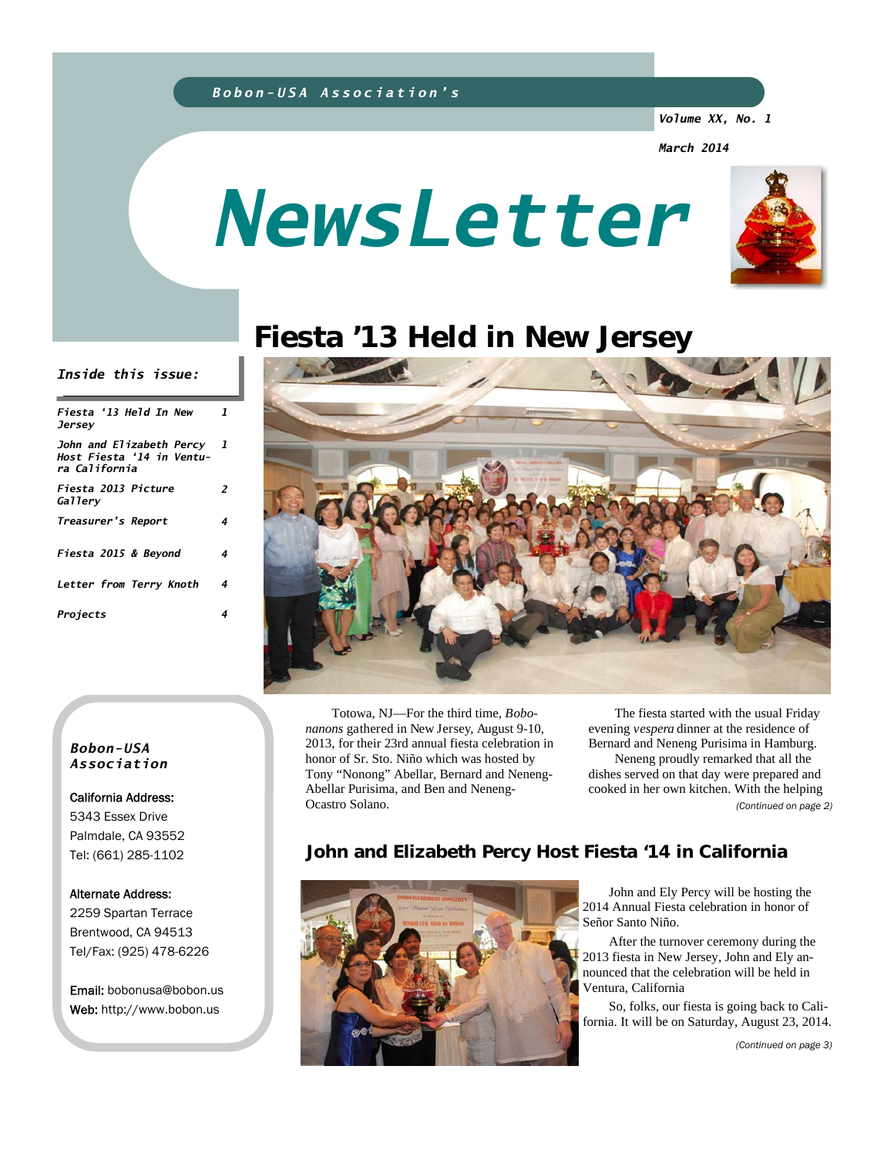#### *Bobon-USA Association's*

*Volume XX, No. 1* 

*March 2014* 

# *NewsLetter*



# **Fiesta '13 Held in New Jersey**



 Totowa, NJ—For the third time, *Bobonanons* gathered in New Jersey, August 9-10, 2013, for their 23rd annual fiesta celebration in honor of Sr. Sto. Niño which was hosted by Tony "Nonong" Abellar, Bernard and Neneng-Abellar Purisima, and Ben and Neneng-Ocastro Solano.

 The fiesta started with the usual Friday evening *vespera* dinner at the residence of Bernard and Neneng Purisima in Hamburg. Neneng proudly remarked that all the dishes served on that day were prepared and cooked in her own kitchen. With the helping *(Continued on page 2)* 

# **John and Elizabeth Percy Host Fiesta '14 in California**



 John and Ely Percy will be hosting the 2014 Annual Fiesta celebration in honor of Señor Santo Niño.

 After the turnover ceremony during the 2013 fiesta in New Jersey, John and Ely announced that the celebration will be held in Ventura, California

 So, folks, our fiesta is going back to California. It will be on Saturday, August 23, 2014.

*(Continued on page 3)* 

#### *Inside this issue:*

| Fiesta '13 Held In New<br>Jersey                                         | 1 |
|--------------------------------------------------------------------------|---|
| John and Elizabeth Percy 1<br>Host Fiesta '14 in Ventu-<br>ra California |   |
| Fiesta 2013 Picture<br>Gallery                                           | 2 |
| Treasurer's Report                                                       | 4 |
| Fiesta 2015 & Beyond                                                     | 4 |
| Letter from Terry Knoth                                                  | 4 |
| Projects                                                                 | 4 |

#### *Bobon-USA Association*

California Address: 5343 Essex Drive Palmdale, CA 93552 Tel: (661) 285-1102

#### Alternate Address:

2259 Spartan Terrace Brentwood, CA 94513 Tel/Fax: (925) 478-6226

Email: bobonusa@bobon.us Web: http://www.bobon.us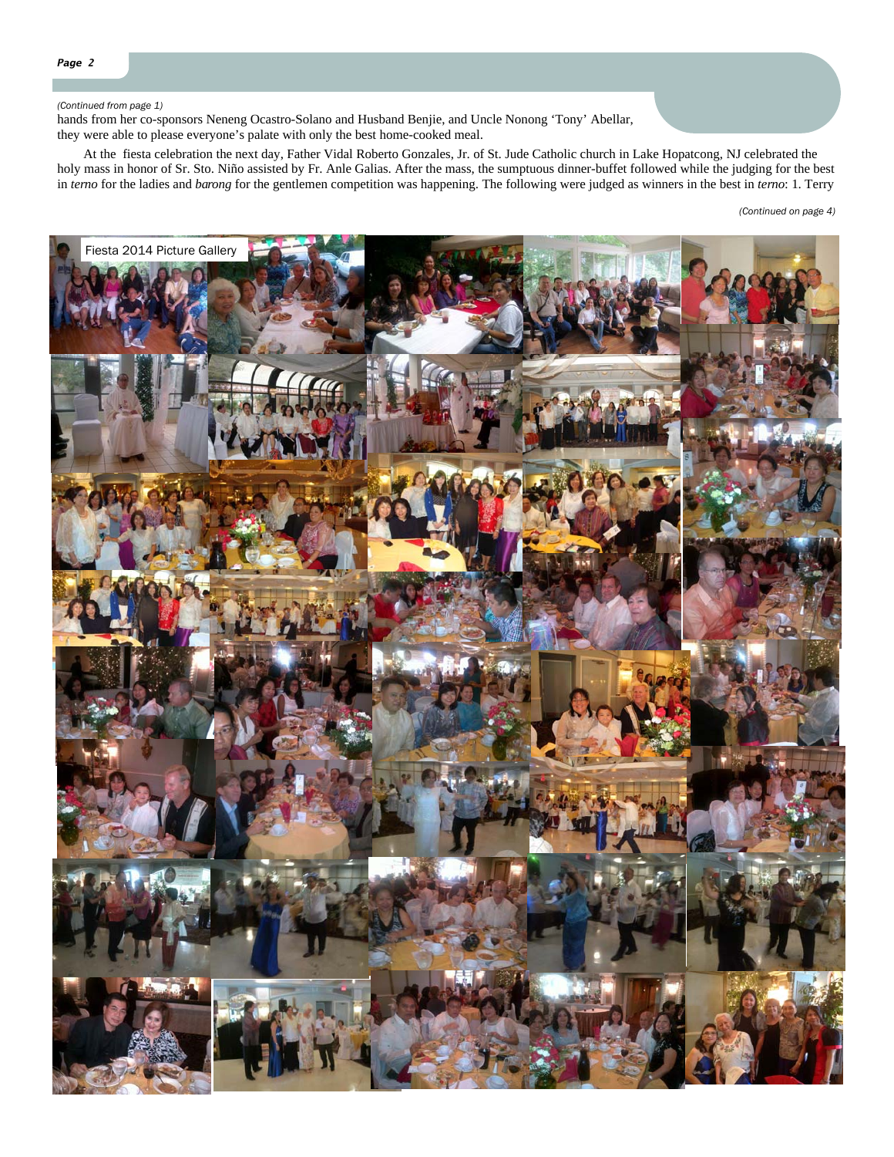#### *(Continued from page 1)*

hands from her co-sponsors Neneng Ocastro-Solano and Husband Benjie, and Uncle Nonong 'Tony' Abellar, they were able to please everyone's palate with only the best home-cooked meal.

 At the fiesta celebration the next day, Father Vidal Roberto Gonzales, Jr. of St. Jude Catholic church in Lake Hopatcong, NJ celebrated the holy mass in honor of Sr. Sto. Niño assisted by Fr. Anle Galias. After the mass, the sumptuous dinner-buffet followed while the judging for the best in *terno* for the ladies and *barong* for the gentlemen competition was happening. The following were judged as winners in the best in *terno*: 1. Terry

*(Continued on page 4)* 

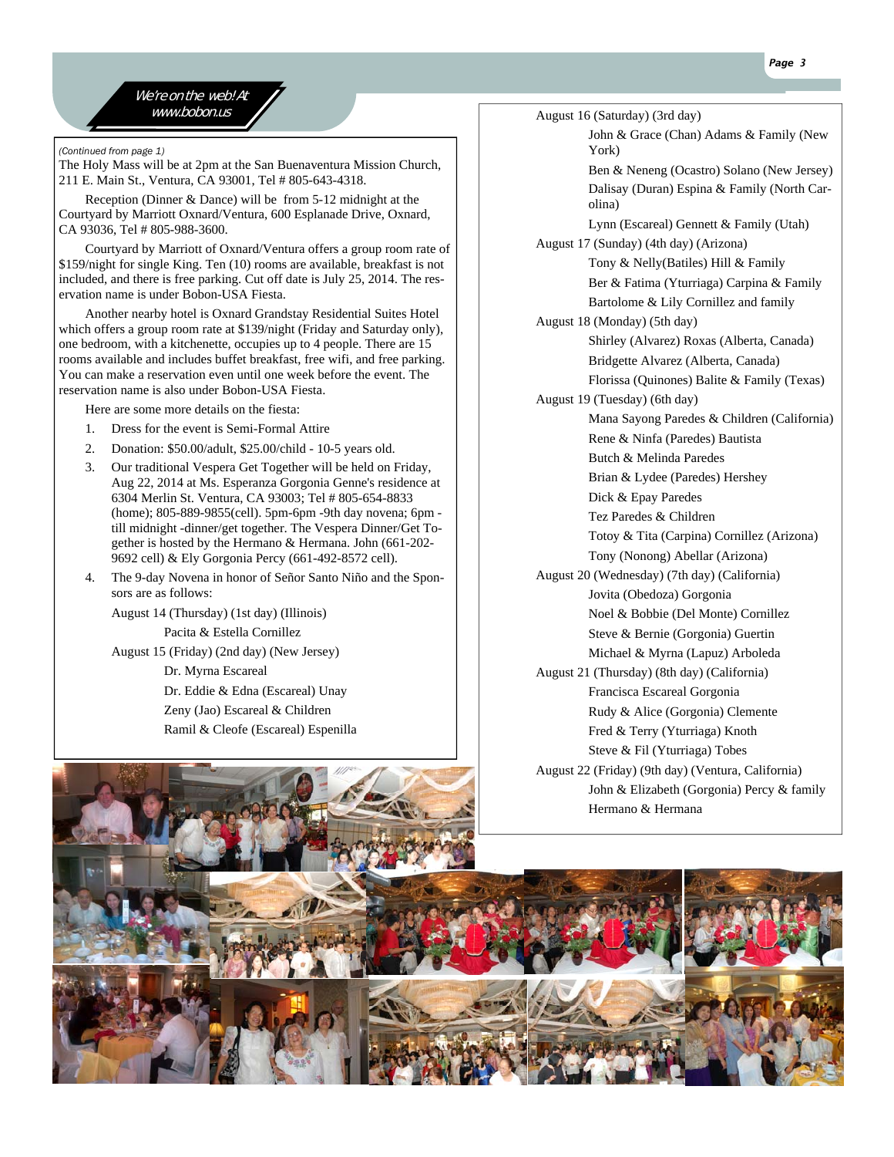We're on the web! At

*(Continued from page 1)* 

The Holy Mass will be at 2pm at the San Buenaventura Mission Church, 211 E. Main St., Ventura, CA 93001, Tel # 805-643-4318.

 Reception (Dinner & Dance) will be from 5-12 midnight at the Courtyard by Marriott Oxnard/Ventura, 600 Esplanade Drive, Oxnard, CA 93036, Tel # 805-988-3600.

 Courtyard by Marriott of Oxnard/Ventura offers a group room rate of \$159/night for single King. Ten (10) rooms are available, breakfast is not included, and there is free parking. Cut off date is July 25, 2014. The reservation name is under Bobon-USA Fiesta.

 Another nearby hotel is Oxnard Grandstay Residential Suites Hotel which offers a group room rate at \$139/night (Friday and Saturday only), one bedroom, with a kitchenette, occupies up to 4 people. There are 15 rooms available and includes buffet breakfast, free wifi, and free parking. You can make a reservation even until one week before the event. The reservation name is also under Bobon-USA Fiesta.

Here are some more details on the fiesta:

- 1. Dress for the event is Semi-Formal Attire
- 2. Donation: \$50.00/adult, \$25.00/child 10-5 years old.
- 3. Our traditional Vespera Get Together will be held on Friday, Aug 22, 2014 at Ms. Esperanza Gorgonia Genne's residence at 6304 Merlin St. Ventura, CA 93003; Tel # 805-654-8833 (home); 805-889-9855(cell). 5pm-6pm -9th day novena; 6pm till midnight -dinner/get together. The Vespera Dinner/Get Together is hosted by the Hermano & Hermana. John (661-202- 9692 cell) & Ely Gorgonia Percy (661-492-8572 cell).
- 4. The 9-day Novena in honor of Señor Santo Niño and the Sponsors are as follows:

August 14 (Thursday) (1st day) (Illinois) Pacita & Estella Cornillez August 15 (Friday) (2nd day) (New Jersey)

Dr. Myrna Escareal Dr. Eddie & Edna (Escareal) Unay Zeny (Jao) Escareal & Children Ramil & Cleofe (Escareal) Espenilla Tez Paredes & Children Tony (Nonong) Abellar (Arizona)



 $www.bobon.us$  August 16 (Saturday) (3rd day)

John & Grace (Chan) Adams & Family (New York)

Ben & Neneng (Ocastro) Solano (New Jersey) Dalisay (Duran) Espina & Family (North Carolina)

Lynn (Escareal) Gennett & Family (Utah) August 17 (Sunday) (4th day) (Arizona)

> Tony & Nelly(Batiles) Hill & Family Ber & Fatima (Yturriaga) Carpina & Family Bartolome & Lily Cornillez and family

August 18 (Monday) (5th day) Shirley (Alvarez) Roxas (Alberta, Canada) Bridgette Alvarez (Alberta, Canada)

Florissa (Quinones) Balite & Family (Texas)

August 19 (Tuesday) (6th day)

Mana Sayong Paredes & Children (California) Rene & Ninfa (Paredes) Bautista Butch & Melinda Paredes

Brian & Lydee (Paredes) Hershey

Dick & Epay Paredes

Totoy & Tita (Carpina) Cornillez (Arizona)

August 20 (Wednesday) (7th day) (California) Jovita (Obedoza) Gorgonia Noel & Bobbie (Del Monte) Cornillez Steve & Bernie (Gorgonia) Guertin

Michael & Myrna (Lapuz) Arboleda

- August 21 (Thursday) (8th day) (California) Francisca Escareal Gorgonia Rudy & Alice (Gorgonia) Clemente Fred & Terry (Yturriaga) Knoth Steve & Fil (Yturriaga) Tobes
- August 22 (Friday) (9th day) (Ventura, California) John & Elizabeth (Gorgonia) Percy & family Hermano & Hermana